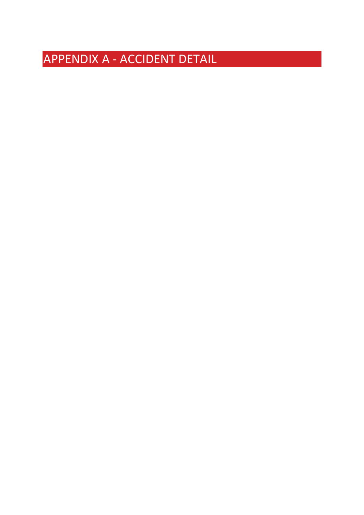## APPENDIX A - ACCIDENT DETAIL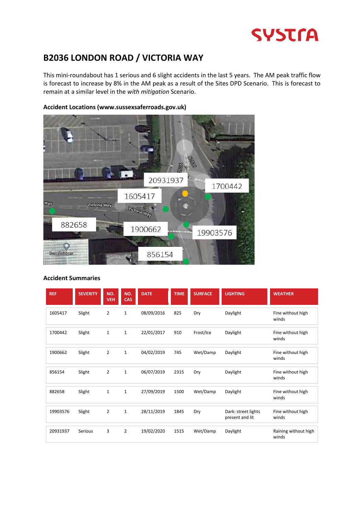

## **B2036 LONDON ROAD / VICTORIA WAY**

This mini-roundabout has 1 serious and 6 slight accidents in the last 5 years. The AM peak traffic flow is forecast to increase by 8% in the AM peak as a result of the Sites DPD Scenario. This is forecast to remain at a similar level in the *with mitigation* Scenario.

#### **Accident Locations (www.sussexsaferroads.gov.uk)**



| <b>REF</b> | <b>SEVERITY</b> | NO.<br><b>VEH</b> | NO.<br>CAS     | <b>DATE</b> | <b>TIME</b> | <b>SURFACE</b> | <b>LIGHTING</b>                        | <b>WEATHER</b>                |
|------------|-----------------|-------------------|----------------|-------------|-------------|----------------|----------------------------------------|-------------------------------|
| 1605417    | Slight          | $\overline{2}$    | $\mathbf{1}$   | 08/09/2016  | 825         | Dry            | Daylight                               | Fine without high<br>winds    |
| 1700442    | Slight          | $\mathbf{1}$      | $\mathbf{1}$   | 22/01/2017  | 910         | Frost/Ice      | Daylight                               | Fine without high<br>winds    |
| 1900662    | Slight          | $\overline{2}$    | $\mathbf{1}$   | 04/02/2019  | 745         | Wet/Damp       | Daylight                               | Fine without high<br>winds    |
| 856154     | Slight          | $\overline{2}$    | $\mathbf{1}$   | 06/07/2019  | 2315        | Dry            | Daylight                               | Fine without high<br>winds    |
| 882658     | Slight          | $\mathbf{1}$      | $\mathbf{1}$   | 27/09/2019  | 1500        | Wet/Damp       | Daylight                               | Fine without high<br>winds    |
| 19903576   | Slight          | $\overline{2}$    | $\mathbf{1}$   | 28/11/2019  | 1845        | Dry            | Dark: street lights<br>present and lit | Fine without high<br>winds    |
| 20931937   | Serious         | 3                 | $\overline{2}$ | 19/02/2020  | 1515        | Wet/Damp       | Daylight                               | Raining without high<br>winds |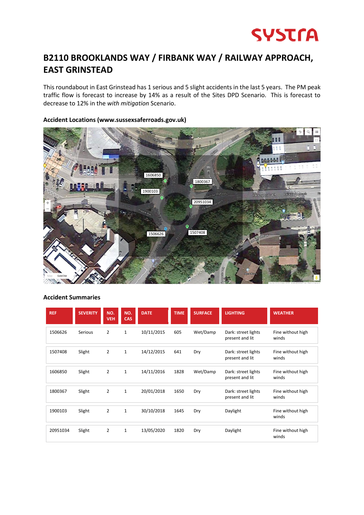

## **B2110 BROOKLANDS WAY / FIRBANK WAY / RAILWAY APPROACH, EAST GRINSTEAD**

This roundabout in East Grinstead has 1 serious and 5 slight accidents in the last 5 years. The PM peak traffic flow is forecast to increase by 14% as a result of the Sites DPD Scenario. This is forecast to decrease to 12% in the *with mitigation* Scenario.

# 1606850 18003671900103 Railway Approach Railway 20951034 1506626 8 1507408

#### **Accident Locations (www.sussexsaferroads.gov.uk)**

| <b>REF</b> | <b>SEVERITY</b> | NO.<br><b>VEH</b> | NO.<br><b>CAS</b> | <b>DATE</b> | <b>TIME</b> | <b>SURFACE</b> | <b>LIGHTING</b>                        | <b>WEATHER</b>             |
|------------|-----------------|-------------------|-------------------|-------------|-------------|----------------|----------------------------------------|----------------------------|
| 1506626    | Serious         | $\overline{2}$    | $\mathbf{1}$      | 10/11/2015  | 605         | Wet/Damp       | Dark: street lights<br>present and lit | Fine without high<br>winds |
| 1507408    | Slight          | $\overline{2}$    | $\mathbf{1}$      | 14/12/2015  | 641         | Dry            | Dark: street lights<br>present and lit | Fine without high<br>winds |
| 1606850    | Slight          | $\overline{2}$    | $\mathbf{1}$      | 14/11/2016  | 1828        | Wet/Damp       | Dark: street lights<br>present and lit | Fine without high<br>winds |
| 1800367    | Slight          | $\overline{2}$    | $\mathbf{1}$      | 20/01/2018  | 1650        | Dry            | Dark: street lights<br>present and lit | Fine without high<br>winds |
| 1900103    | Slight          | $\overline{2}$    | $\mathbf{1}$      | 30/10/2018  | 1645        | Dry            | Daylight                               | Fine without high<br>winds |
| 20951034   | Slight          | $\overline{2}$    | $\mathbf{1}$      | 13/05/2020  | 1820        | Dry            | Daylight                               | Fine without high<br>winds |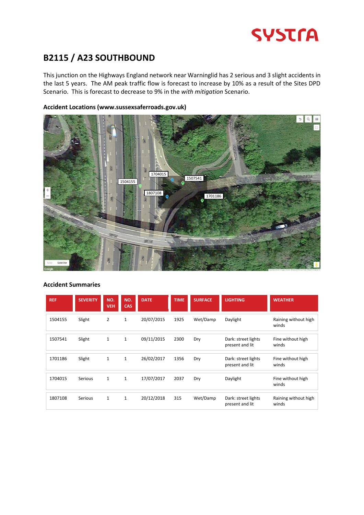

## **B2115 / A23 SOUTHBOUND**

This junction on the Highways England network near Warninglid has 2 serious and 3 slight accidents in the last 5 years. The AM peak traffic flow is forecast to increase by 10% as a result of the Sites DPD Scenario. This is forecast to decrease to 9% in the *with mitigation* Scenario.

#### **Accident Locations (www.sussexsaferroads.gov.uk)**



| <b>REF</b> | <b>SEVERITY</b> | NO.<br><b>VEH</b> | NO.<br><b>CAS</b> | <b>DATE</b> | <b>TIME</b> | <b>SURFACE</b> | <b>LIGHTING</b>                        | <b>WEATHER</b>                |
|------------|-----------------|-------------------|-------------------|-------------|-------------|----------------|----------------------------------------|-------------------------------|
| 1504155    | Slight          | $\overline{2}$    | 1                 | 20/07/2015  | 1925        | Wet/Damp       | Daylight                               | Raining without high<br>winds |
| 1507541    | Slight          | $\mathbf{1}$      | $\mathbf{1}$      | 09/11/2015  | 2300        | Dry            | Dark: street lights<br>present and lit | Fine without high<br>winds    |
| 1701186    | Slight          | $\mathbf{1}$      | $\mathbf{1}$      | 26/02/2017  | 1356        | Dry            | Dark: street lights<br>present and lit | Fine without high<br>winds    |
| 1704015    | Serious         | $\mathbf{1}$      | $\mathbf{1}$      | 17/07/2017  | 2037        | Dry            | Daylight                               | Fine without high<br>winds    |
| 1807108    | Serious         | $\mathbf{1}$      | $\mathbf{1}$      | 20/12/2018  | 315         | Wet/Damp       | Dark: street lights<br>present and lit | Raining without high<br>winds |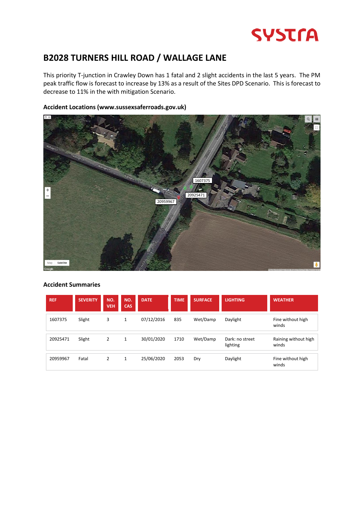## **SYSTFA**

## **B2028 TURNERS HILL ROAD / WALLAGE LANE**

This priority T-junction in Crawley Down has 1 fatal and 2 slight accidents in the last 5 years. The PM peak traffic flow is forecast to increase by 13% as a result of the Sites DPD Scenario. This is forecast to decrease to 11% in the with mitigation Scenario.



#### **Accident Locations (www.sussexsaferroads.gov.uk)**

| <b>REF</b> | <b>SEVERITY</b> | NO.<br>VEH | NO.<br>CAS | <b>DATE</b> | <b>TIME</b> | <b>SURFACE</b> | <b>LIGHTING</b>             | <b>WEATHER</b>                |
|------------|-----------------|------------|------------|-------------|-------------|----------------|-----------------------------|-------------------------------|
| 1607375    | Slight          | 3          | 1          | 07/12/2016  | 835         | Wet/Damp       | Daylight                    | Fine without high<br>winds    |
| 20925471   | Slight          | 2          | 1          | 30/01/2020  | 1710        | Wet/Damp       | Dark: no street<br>lighting | Raining without high<br>winds |
| 20959967   | Fatal           | 2          | 1          | 25/06/2020  | 2053        | Dry            | Daylight                    | Fine without high<br>winds    |